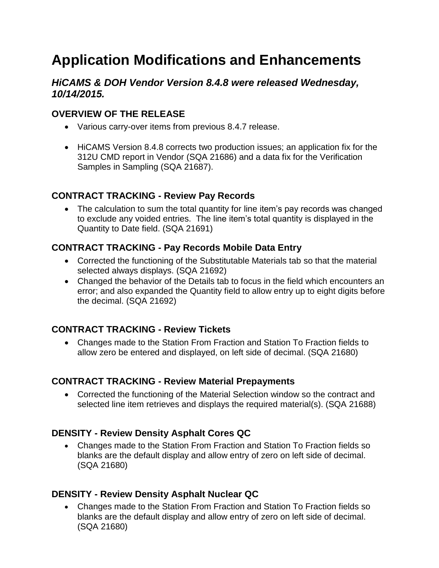# **Application Modifications and Enhancements**

# *HiCAMS & DOH Vendor Version 8.4.8 were released Wednesday, 10/14/2015.*

# **OVERVIEW OF THE RELEASE**

- Various carry-over items from previous 8.4.7 release.
- HiCAMS Version 8.4.8 corrects two production issues; an application fix for the 312U CMD report in Vendor (SQA 21686) and a data fix for the Verification Samples in Sampling (SQA 21687).

## **CONTRACT TRACKING - Review Pay Records**

• The calculation to sum the total quantity for line item's pay records was changed to exclude any voided entries. The line item's total quantity is displayed in the Quantity to Date field. (SQA 21691)

# **CONTRACT TRACKING - Pay Records Mobile Data Entry**

- Corrected the functioning of the Substitutable Materials tab so that the material selected always displays. (SQA 21692)
- Changed the behavior of the Details tab to focus in the field which encounters an error; and also expanded the Quantity field to allow entry up to eight digits before the decimal. (SQA 21692)

## **CONTRACT TRACKING - Review Tickets**

 Changes made to the Station From Fraction and Station To Fraction fields to allow zero be entered and displayed, on left side of decimal. (SQA 21680)

## **CONTRACT TRACKING - Review Material Prepayments**

 Corrected the functioning of the Material Selection window so the contract and selected line item retrieves and displays the required material(s). (SQA 21688)

# **DENSITY - Review Density Asphalt Cores QC**

 Changes made to the Station From Fraction and Station To Fraction fields so blanks are the default display and allow entry of zero on left side of decimal. (SQA 21680)

# **DENSITY - Review Density Asphalt Nuclear QC**

 Changes made to the Station From Fraction and Station To Fraction fields so blanks are the default display and allow entry of zero on left side of decimal. (SQA 21680)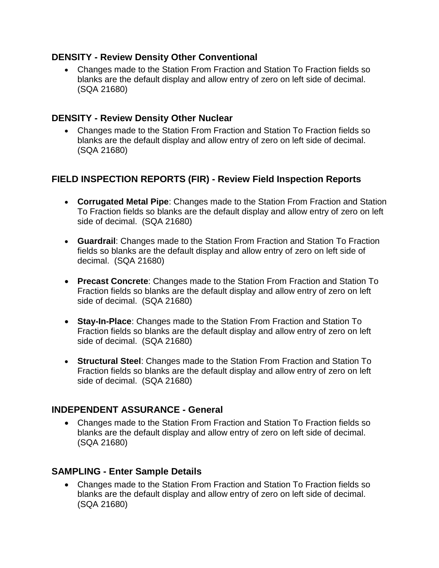#### **DENSITY - Review Density Other Conventional**

 Changes made to the Station From Fraction and Station To Fraction fields so blanks are the default display and allow entry of zero on left side of decimal. (SQA 21680)

#### **DENSITY - Review Density Other Nuclear**

 Changes made to the Station From Fraction and Station To Fraction fields so blanks are the default display and allow entry of zero on left side of decimal. (SQA 21680)

# **FIELD INSPECTION REPORTS (FIR) - Review Field Inspection Reports**

- **Corrugated Metal Pipe**: Changes made to the Station From Fraction and Station To Fraction fields so blanks are the default display and allow entry of zero on left side of decimal. (SQA 21680)
- **Guardrail**: Changes made to the Station From Fraction and Station To Fraction fields so blanks are the default display and allow entry of zero on left side of decimal. (SQA 21680)
- **Precast Concrete**: Changes made to the Station From Fraction and Station To Fraction fields so blanks are the default display and allow entry of zero on left side of decimal. (SQA 21680)
- **Stay-In-Place**: Changes made to the Station From Fraction and Station To Fraction fields so blanks are the default display and allow entry of zero on left side of decimal. (SQA 21680)
- **Structural Steel**: Changes made to the Station From Fraction and Station To Fraction fields so blanks are the default display and allow entry of zero on left side of decimal. (SQA 21680)

## **INDEPENDENT ASSURANCE - General**

 Changes made to the Station From Fraction and Station To Fraction fields so blanks are the default display and allow entry of zero on left side of decimal. (SQA 21680)

#### **SAMPLING - Enter Sample Details**

 Changes made to the Station From Fraction and Station To Fraction fields so blanks are the default display and allow entry of zero on left side of decimal. (SQA 21680)